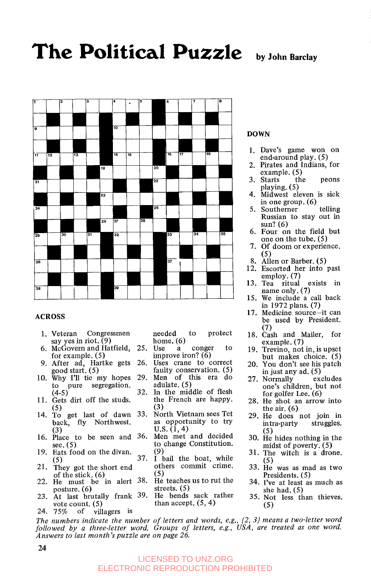# The Political Puzzle by John Barclay



#### **ACROSS**

- 1. Veteran Congressmen say yes in riot.  $(9)$
- 6. McGovern and Hatfield, for example. (5)
- 9. After ad, Hartke gets good start. (5)
- 10. Why I'll tie my hopes to pure segregation.  $(4-5)$
- 11. Gets dirt off the studs. (5)
- 14. To get last of dawn back, fly Northwest.  $(3)$  U.S.  $(1, 4)$ <br>Place to be seen and 36. Men met and decided
- 16. Place to be seen and 36. Men met and decided
- 19. Eats food on the divan.
- 21. They got the short end others commit crime. of the stick. (6) (5)<br>He must be in alert 38. He teaches us to rut the
- 22. He must be in alert 38. He teachesus to rut the posture. (6) streets. (5)<br>At last brutally frank 39. He bends sack rather
- 23. At last brutally frank 39. He bends sack rather vote count.  $(5)$ <br>75% of vill
- 24. 75% villagers is

needed to protect home.  $(6)$ <br>Use a

- 25. Use a conger to improve iron? (6)
- 26. Uses crane to correct faulty conservation. (5) 29. Men of this era do adulate. (5)
- 32. In the middle of flesh the French are happy.
- $\begin{array}{c} (3) \\ 33. \end{array}$  North Vietnam sees Tet (3) as opportunity to try
- see. (5) **to change Constitution.** *(9)*
- Extra 1992 37. **I** bail the boat, while<br>They got the short end others commit crime.
	-
	- than accept.  $(5, 4)$

#### **DOWN**

- 1. Dave's game won on end-around play. (5)
- **2.** Pirates and Indians, for example. (5)
- 3. Starts the peons playing. (5)
- 4. Midwest eleven is sick in one group. (6)<br>Southerner telling
- 5. Southerner Russian to stay out **in**  sun? **(6)**
- 6. Four on the field but one on the tube. (5)
- 7. Of doom or experience.<br>(5)
- *(5)* 8. Allen or Barber. (5)
- 12. Escorted her into past employ. (7)
- 13. Tea ritual exists in name only. (7)
- 15. We include a call back in 1972 plans. (7)
- 17. Medicine source-it can be used by President.
- (7) 18. Cash and Mailer, for example. (7)
- 19. Trevino, not in, is upset but makes choice. (5)
- 20. You don't see his patch in just any ad. (5)<br>Normally excludes
- 27. Normally one's children, but not for golfer Lee. (6)
- 28. He shot an arrow into the air. (6)
- 29. He does not join in intra-party struggles. (5) 30. He hides nothing in the
- midst of poverty. (5)
- 31. The witch is a drone. (5)
- 33. He was as mad as two Presidents. (5)
- 34. I've at least as much as she had. (5)
- 35. Not less than thieves. *(5)*

*The numbers indicate the number of letters and words, e.g., (2, 3) means a two-letter word followed by a three-letter word. Groups of letters, e.g., USA, are treated as one word. Answers to last month's puzzle are on page 26.* 

#### LICENSED TO UNZ.ORG ELECTRONIC REPRODUCTION PROHIBITED